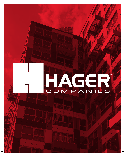# COMPANIES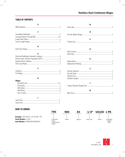# **TABLE OF CONTENTS**

| A             |
|---------------|
|               |
|               |
| C             |
|               |
|               |
|               |
|               |
| D             |
|               |
|               |
| F             |
|               |
|               |
|               |
|               |
|               |
| F             |
|               |
|               |
|               |
| н             |
| <b>Hinges</b> |
|               |
|               |
|               |
|               |
|               |
| L             |
|               |

| N  |  |
|----|--|
| P  |  |
| Q  |  |
| R  |  |
| S  |  |
|    |  |
| T. |  |
| W  |  |

M

# **HOW TO ORDER:**

|                                                                     | 790                                                                   | 900   | 83     | 1/8"            | <b>US32D</b>  | <b>1 PK</b>                       |
|---------------------------------------------------------------------|-----------------------------------------------------------------------|-------|--------|-----------------|---------------|-----------------------------------|
| <b>Example:</b> 790-900 83 1/8" US32D 1 PK                          |                                                                       |       |        |                 |               |                                   |
| <b>Stock Number: 23243</b><br><b>Item Number: PS90083B32D000001</b> | <b>STAINLESS</b><br><b>STEEL</b><br><b>CONTINUOUS</b><br><b>HINGE</b> | ITEM# | LENGTH | <b>FRACTION</b> | <b>FINISH</b> | STANDARD<br>SINGLE<br><b>PACK</b> |

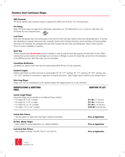#### **ANSI Standards**

790 Series stainless steel continuous hinges are approved for ANSI A156.26 Grade 1 for 150-pound doors.

#### **Fire Rating**

Hager 790 Series hinges are approved by Underwriters Laboratories, Inc. Fire Rated label for up to 3 hours for metal doors and 90 minutes for wood composite doors.

#### **Lead Times**



Stock items will typically ship in five working days or less from the order entry date. Made-to-order items will typically ship in 15 working days depending on seasonal volume and order complexity. Special orders including industrials, special machining, and large quantities may need to be scheduled. The anticipated ship date will be included with each order acknowledgement. Please contact Customer Service if product availability is in question.

#### **Quick Ship**

Products denoted with **red and bold** pricing are available to order through the Quick Ship program and ship within 24 hours. When ordering these products please visit www.hagerco.com and log in to MyHager to access the 'Quick Ship' portal. Due to the promptness of the fulfillment process, Quick Ship orders are non-cancellable.

#### **Cancellation Notification**

Cancellation for made-to-order items must be communicated within 48 hours of order placement.

#### **Standard Lengths**

Stainless steel hinges are listed and priced as actual lengths 83-1/8" (7'0" opening), 85" (7'2" opening), 95" (8'0" opening), and 119" (10'0" opening) for convenience in application to nominal sized doors. Other lengths may be ordered as non-standard items.

#### **Extra Long Hinges**

Hinges over 119" are manufactured as two separate lengths with staggered joints for on-site connection.

| <b>MODIFICATIONS &amp; ADDITIONS</b><br><b>PRICE</b>                                                  | <b>ADDITION TO LIST</b>     |
|-------------------------------------------------------------------------------------------------------|-----------------------------|
| <b>Custom Length Hinges</b>                                                                           |                             |
| Actual door height may be specified at an additional charge outlined:                                 |                             |
| • For hinges 40" to 83" in length                                                                     | \$71.60 to 7' list price.   |
| • For hinges 83" to 95" in length                                                                     | \$71.60 to 8' list price.   |
| • For hinges 95" to 119" in length                                                                    | \$71.60 to 10' list price.  |
| • For hinges 119" to 192" in length                                                                   | \$163.80 to the list price  |
| <b>Custom Hole Pattern</b><br>• Any hole pattern or shape other than Hager's standard hole pattern.   | <b>Price on Application</b> |
| <b>No Hole (Blank) Hinges</b><br>• Holes omitted for special applications (i.e. welded installation). | <b>Price on Application</b> |
| <b>Lead Lined Hole Pattern</b><br>• Only available on Models 790-900, 790-911 and 790-915.            | <b>Price on Application</b> |

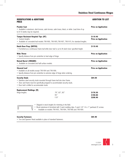| <b>MODIFICATIONS &amp; ADDITIONS</b><br><b>PRICE</b>                               |                                                                                                                                                                                                                   | <b>ADDITION TO LIST</b>                 |
|------------------------------------------------------------------------------------|-------------------------------------------------------------------------------------------------------------------------------------------------------------------------------------------------------------------|-----------------------------------------|
| <b>Powder Coat</b><br>to 8-10 weeks may be required.                               | • Available in aluminum, dark bronze, satin bronze, satin brass, black, or white. Lead time of up                                                                                                                 | <b>Price on Application</b>             |
| <b>Tamper Resistant Hospital Tips (HT)</b><br>• Custom lengths                     | • Available on concealed leaf models 790-900, 790-905, 790-907, 790-915, for standard lengths.                                                                                                                    | \$119.40<br><b>Price on Application</b> |
| <b>Dutch Door Prep (DUTCH)</b>                                                     | • Furnished as a continuous frame leaf while door leaf is cut to fit dutch door specified height.                                                                                                                 | \$119.40                                |
| Wide Throw<br>• Specify distance from pin centerline to heel edge of hinge.        |                                                                                                                                                                                                                   | <b>Price on Application</b>             |
| <b>Raised Barrel (SWAGED)</b><br>• Available on concealed and half surface models. |                                                                                                                                                                                                                   | <b>Price on Application</b>             |
| <b>Sheared Leaf</b><br>• Available on all models except 790-904 and 790-906.       | • Specify distance from pin centerline to extreme edge of hinge when ordering.                                                                                                                                    | <b>Price on Application</b>             |
| <b>Security Studs</b><br>• Door leaf is drilled to accommodate studs.              | • Stainless steel security studs mounted through frame leaf into door frame.<br>• Door and frame must be specifically prepped to accommodate security studs.                                                      | \$84.00                                 |
| <b>Replacement Moldings (M)</b><br>Hinge lengths:                                  | 79", 83", 85"<br>95"<br>119"                                                                                                                                                                                      | \$176.50<br>\$190.80<br>\$208.90        |
|                                                                                    | Shipped in stock lengths for trimming in the field.<br>Brush aluminum & furnished with 5 each molding clips, 5 each 1/4"-14 x 1" panhead 2C screws.<br>Available on models 790-903, 790-904, 790-906 and 790-909. |                                         |

#### **Security Fasteners \$85.90**

• Torx and Spanner Head available in place of standard fasteners.



3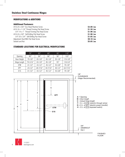# **MODIFICATIONS & ADDITIONS**

## **Additional Fasteners**

| #10-24 x 5/8" Torx Head Machine Screw          | $$3.00$ /ea |
|------------------------------------------------|-------------|
| #10-16 x 1-1/4" Thread Forming Flat Head Screw | $$1.30$ /ea |
| 1/4"-14 x 1" Thread Forming Pan Head Screw     | $$1.90$ /ea |
| #10-24 x 5/8" Self-Drilling Flat Head Screw    | \$1.90 /ea  |
| 1/4"-20 x 3/4" Self-Drilling Pan Head Screw    | $$1.65$ /ea |
| Adjustment Stud With Flat Head Screw           | \$9.10 /ea  |
| Sexbolt and Nut                                | \$5.65 / ea |

# **STANDARD LOCATIONS FOR ELECTRICAL MODIFICATIONS**

|                  | 79"         | 83"          | 85"          | 95"         | 119"         |
|------------------|-------------|--------------|--------------|-------------|--------------|
| Opening          | 80"         | 84"          | 86"          | 96"         | 120"         |
| Door Height      | 79-1/8"     | $83 - 1/8"$  | $85 - 1/8"$  | $95 - 1/8"$ | $119 - 1/8"$ |
| Hinge Length     | 79-3/16"    | $83 - 1/8"$  | $85 - 1/8"$  | 95"         | $118 - 3/4"$ |
| ETW              | $41 - 1/2"$ | $43 - 1/2"$  | $45 - 1/2"$  | $55 - 3/8"$ | $79 - 1/8"$  |
| <b>EPT</b>       | $24 - 1/2"$ | $28 - 7/16"$ | $30 - 7/16"$ | $40 - 1/2"$ | 64-7/16"     |
| E <sub>1</sub> S | $41 - 1/2"$ | $43 - 1/2"$  | $45 - 1/2"$  | $55 - 3/8"$ | $79 - 1/8"$  |



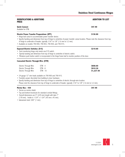# **MODIFICATIONS & ADDITIONS PRICE**

#### **Quick Connect \$47.90**

Available for ETW.

## **Electric Power Transfer Preparations (EPT) \$136.80**

- Hinge leaf cutout to accommodate power transfer device.
- Specify handing and dimension from top of hinge to centerline of power transfer cutout location. Please note the clearance from top of hinge to underside of header, typically 1/16" to 1/8" (1.6 mm to 3.2 mm).
- Available on models 790-900, 790-903, 790-904, and 790-915.

# **Exposed Electric Switches (E1S) \$210.60**

- Each monitoring hinge only needs one E1S switch.
- Specify handing and dimension from top of hinge to centerline of electric switch.
- Miniature push button switch is incorporated in the hinge frame leaf to monitor position of the door.

# **Concealed Electric Through-Wire (ETW)**

| Electric Through Wire | $FTW - 4$ | \$608.60   |
|-----------------------|-----------|------------|
| Electric Through Wire | ETW - 8   | \$910.30   |
| Electric Through Wire | FTW - 10  | \$1,227.50 |

- 24-gauge 12" wire leads available on 790-900 and 790-915.
- Transfers power discretely from building to door hardware.
- Specify handing and dimension from top of hinge to centerline of electric through-wire location. Please note the clearance from top of hinge to underside of header, typically 1/16" to 1/8" (1.6 mm to 3.2 mm).

## **Mortar Box - 430** \$47.90

- Serves as mortar shield.
- Top and bottom knockouts for standard conduit fittings.
- Overall dimensions are 9" (229 mm) length with tabs 7"
- (178 mm). Inside is 1-3/4" x 1-3/4" (45 mm x 45 mm).
- Galvanized steel .040" (1 mm).



5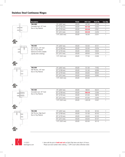# **Stainless Steel Continuous Hinges**

**790-900** 

Concealed Leaf, 1/8" Inset Door of Any Material

Door of Any Material





| 790-903                                              | 79" (2007 mm)  | US32D | 525.00 | 42721 |  |
|------------------------------------------------------|----------------|-------|--------|-------|--|
| Half Surface, 1/8" Inset                             | 83" (2108 mm)  | US32D | 525.00 | 23254 |  |
| Door of Any Material<br>Optional sex bolts available | 85" (2159 mm)  | US32D | 609.00 | 53025 |  |
| (specify when ordering).                             | 95" (2413 mm)  | US32D | 609.00 | 23256 |  |
|                                                      | 119" (3023 mm) | US32D | 777.00 | 23260 |  |
| 790-904                                              | 79" (2007 mm)  | US32D | 531.00 | 71952 |  |
| Half Mortise, 1/8" Inset                             | 83" (2108 mm)  | US32D | 531.00 | 52990 |  |

**Description Finish 2021 List Stock No. Case Qty.**

79" (2007 mm) US32D 457.00 27336 1 83" (2108 mm) US32D **457.00** 23243 1 85" (2159 mm) US32D **520.00** 27921 1 95" (2413 mm) US32D **520.00** 23250 1 119" (3023 mm) US32D 762.00 23251 1

85" (2159 mm) US32D 636.00 92025 1 95" (2413 mm) US32D 636.00 52993 1 119" (3023 mm) US32D 825.00 - 1



| is<br><b>LISTED</b> |                                        |
|---------------------|----------------------------------------|
|                     | 790-905<br>Concealed Le<br>Door of Any |





c(U)us

| 790-906<br>Half Mortise, Edge Guard<br>Door of Any Material | 79" (2007 mm)  | US32D | 531.00 | 92102 |  |
|-------------------------------------------------------------|----------------|-------|--------|-------|--|
|                                                             | 83" (2108 mm)  | US32D | 531.00 | 92103 |  |
|                                                             | 85" (2159 mm)  | US32D | 636.00 | 92105 |  |
|                                                             | 95" (2413 mm)  | US32D | 636.00 | 92107 |  |
|                                                             | 119" (3023 mm) | US32D | 825.00 | 92110 |  |